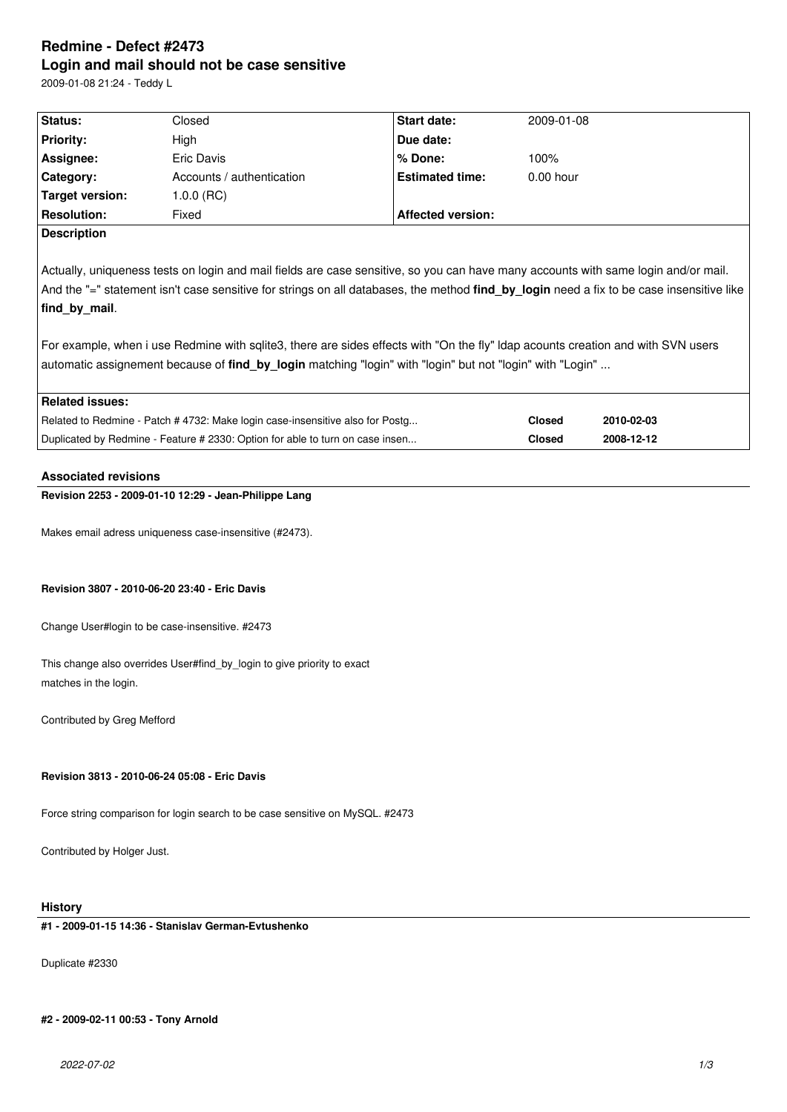# **Redmine - Defect #2473 Login and mail should not be case sensitive**

2009-01-08 21:24 - Teddy L

| Status:                                                                                                                                  | Closed                    | Start date:              | 2009-01-08    |            |  |  |  |
|------------------------------------------------------------------------------------------------------------------------------------------|---------------------------|--------------------------|---------------|------------|--|--|--|
| <b>Priority:</b>                                                                                                                         | High                      | Due date:                |               |            |  |  |  |
| Assignee:                                                                                                                                | Eric Davis                | % Done:                  | 100%          |            |  |  |  |
| Category:                                                                                                                                | Accounts / authentication | <b>Estimated time:</b>   | $0.00$ hour   |            |  |  |  |
| Target version:                                                                                                                          | $1.0.0$ (RC)              |                          |               |            |  |  |  |
| <b>Resolution:</b>                                                                                                                       | Fixed                     | <b>Affected version:</b> |               |            |  |  |  |
| <b>Description</b>                                                                                                                       |                           |                          |               |            |  |  |  |
|                                                                                                                                          |                           |                          |               |            |  |  |  |
| Actually, uniqueness tests on login and mail fields are case sensitive, so you can have many accounts with same login and/or mail.       |                           |                          |               |            |  |  |  |
| And the "=" statement isn't case sensitive for strings on all databases, the method find_by_login need a fix to be case insensitive like |                           |                          |               |            |  |  |  |
| find by mail.                                                                                                                            |                           |                          |               |            |  |  |  |
|                                                                                                                                          |                           |                          |               |            |  |  |  |
| For example, when i use Redmine with sqlite3, there are sides effects with "On the fly" Idap acounts creation and with SVN users         |                           |                          |               |            |  |  |  |
| automatic assignement because of find by login matching "login" with "login" but not "login" with "Login"                                |                           |                          |               |            |  |  |  |
|                                                                                                                                          |                           |                          |               |            |  |  |  |
| <b>Related issues:</b>                                                                                                                   |                           |                          |               |            |  |  |  |
| Related to Redmine - Patch # 4732: Make login case-insensitive also for Postg                                                            |                           |                          | <b>Closed</b> | 2010-02-03 |  |  |  |
| Duplicated by Redmine - Feature # 2330: Option for able to turn on case insen                                                            |                           |                          | <b>Closed</b> | 2008-12-12 |  |  |  |
|                                                                                                                                          |                           |                          |               |            |  |  |  |
| <b>Associated revisions</b>                                                                                                              |                           |                          |               |            |  |  |  |
| Revision 2253 - 2009-01-10 12:29 - Jean-Philippe Lang                                                                                    |                           |                          |               |            |  |  |  |
|                                                                                                                                          |                           |                          |               |            |  |  |  |

Makes email adress uniqueness case-insensitive (#2473).

### **Revision 3807 - 2010-06-20 23:40 - Eric Davis**

Change User#login to be case-insensitive. #2473

This change also overrides User#find\_by\_login to give priority to exact matches in the login.

Contributed by Greg Mefford

## **Revision 3813 - 2010-06-24 05:08 - Eric Davis**

Force string comparison for login search to be case sensitive on MySQL. #2473

Contributed by Holger Just.

### **History**

## **#1 - 2009-01-15 14:36 - Stanislav German-Evtushenko**

Duplicate #2330

## **#2 - 2009-02-11 00:53 - Tony Arnold**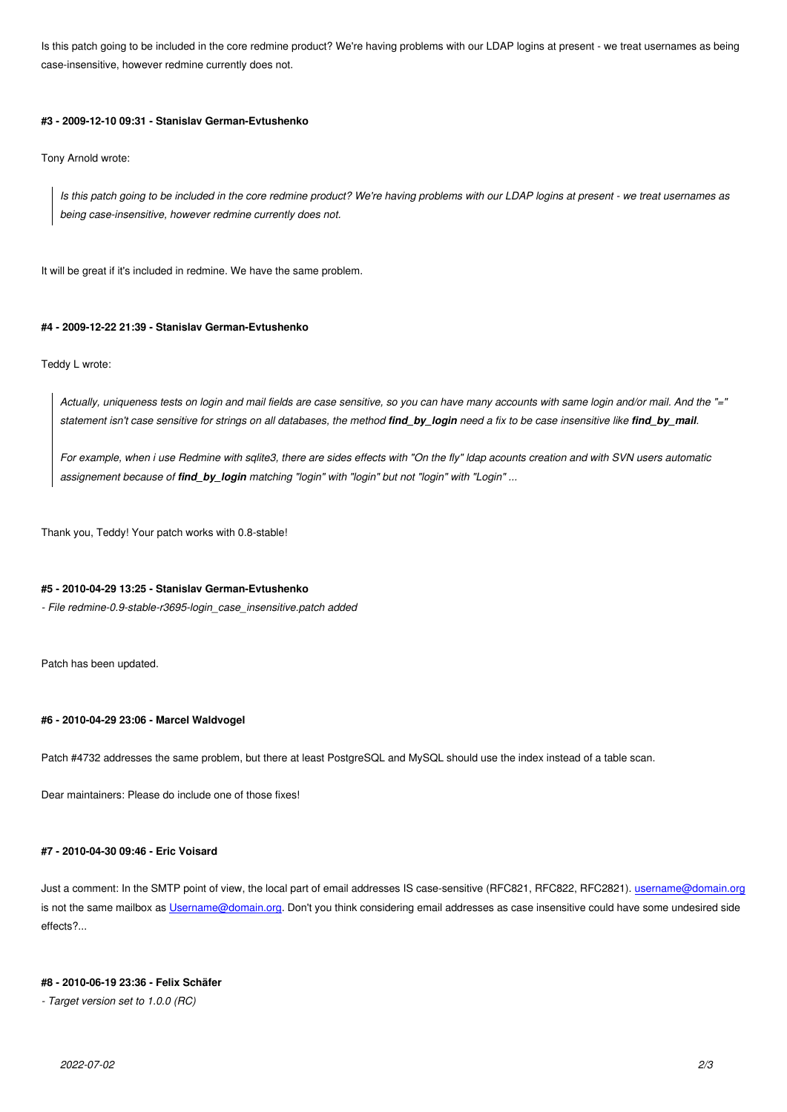case-insensitive, however redmine currently does not.

#### **#3 - 2009-12-10 09:31 - Stanislav German-Evtushenko**

Tony Arnold wrote:

*Is this patch going to be included in the core redmine product? We're having problems with our LDAP logins at present - we treat usernames as being case-insensitive, however redmine currently does not.*

It will be great if it's included in redmine. We have the same problem.

#### **#4 - 2009-12-22 21:39 - Stanislav German-Evtushenko**

Teddy L wrote:

*Actually, uniqueness tests on login and mail fields are case sensitive, so you can have many accounts with same login and/or mail. And the "=" statement isn't case sensitive for strings on all databases, the method find\_by\_login need a fix to be case insensitive like find\_by\_mail.*

*For example, when i use Redmine with sqlite3, there are sides effects with "On the fly" ldap acounts creation and with SVN users automatic assignement because of find\_by\_login matching "login" with "login" but not "login" with "Login" ...*

Thank you, Teddy! Your patch works with 0.8-stable!

#### **#5 - 2010-04-29 13:25 - Stanislav German-Evtushenko**

*- File redmine-0.9-stable-r3695-login\_case\_insensitive.patch added*

Patch has been updated.

#### **#6 - 2010-04-29 23:06 - Marcel Waldvogel**

Patch #4732 addresses the same problem, but there at least PostgreSQL and MySQL should use the index instead of a table scan.

Dear maintainers: Please do include one of those fixes!

### **#7 - 2010-04-30 09:46 - Eric Voisard**

Just a comment: In the SMTP point of view, the local part of email addresses IS case-sensitive (RFC821, RFC822, RFC2821). username@domain.org is not the same mailbox as Username@domain.org. Don't you think considering email addresses as case insensitive could have some undesired side effects?...

#### **#8 - 2010-06-19 23:36 - Fe[lix Schäfer](mailto:Username@domain.org)**

*- Target version set to 1.0.0 (RC)*